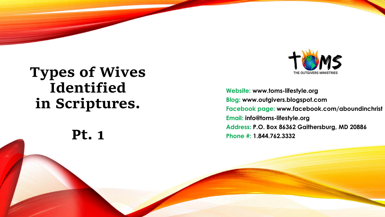# **Types of Wives Identified in Scriptures.**

**Pt. 1**

**Website: www.toms -lifestyle.org Blog: www.outgivers.blogspot.com Facebook page: www.facebook.com/aboundinchrist Email: info@toms -lifestyle.org Address: P.O. Box 86362 Gaithersburg, MD 20886 Phone #: 1.844.762.3332**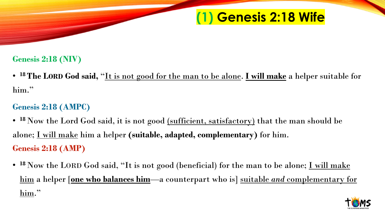## **(1) Genesis 2:18 Wife**

#### **Genesis 2:18 (NIV)**

• **<sup>18</sup>The LORD God said,** "It is not good for the man to be alone. **I will make** a helper suitable for him."

#### **Genesis 2:18 (AMPC)**

- <sup>18</sup> Now the Lord God said, it is not good <u>(sufficient, satisfactory)</u> that the man should be alone; I will make him a helper **(suitable, adapted, complementary)** for him. **Genesis 2:18 (AMP)**
- <sup>18</sup> Now the LORD God said, "It is not good (beneficial) for the man to be alone; <u>I will make</u> him a helper [**one who balances him**—a counterpart who is] suitable *and* complementary for him."

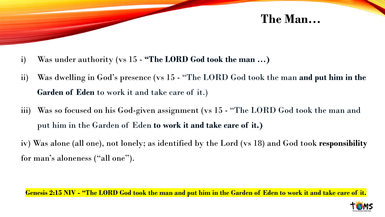

- i) Was under authority (vs 15 **"The LORD God took the man …)**
- ii) Was dwelling in God's presence (vs 15 "The LORD God took the man **and put him in the Garden of Eden** to work it and take care of it.)
- iii) Was so focused on his God-given assignment (vs 15 "The LORD God took the man and put him in the Garden of Eden **to work it and take care of it.)**
- iv) Was alone (all one), not lonely; as identified by the Lord (vs 18) and God took **responsibility** for man's aloneness ("all one").

**Genesis 2:15 NIV - "The LORD God took the man and put him in the Garden of Eden to work it and take care of it.**

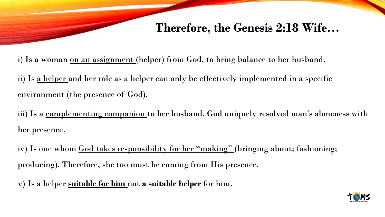## **Therefore, the Genesis 2:18 Wife…**

i) Is a woman <u>on an assignment</u> (helper) from God, to bring balance to her husband.

ii) Is a helper and her role as a helper can only be effectively implemented in a specific environment (the presence of God).

iii) Is a <u>complementing companion</u> to her husband. God uniquely resolved man's aloneness with her presence.

iv) Is one whom God takes responsibility for her "making" (bringing about; fashioning; producing). Therefore, she too must be coming from His presence.

v) Is a helper **suitable for him** not **a suitable helper** for him.

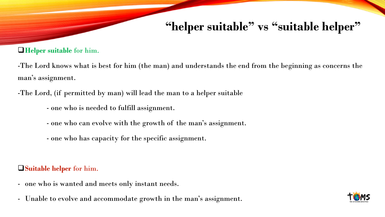# **"helper suitable" vs "suitable helper"**

#### ❑**Helper suitable** for him.

-The Lord knows what is best for him (the man) and understands the end from the beginning as concerns the man's assignment.

-The Lord, (if permitted by man) will lead the man to a helper suitable

- one who is needed to fulfill assignment.
- one who can evolve with the growth of the man's assignment.
- one who has capacity for the specific assignment.

#### ❑**Suitable helper** for him.

- one who is wanted and meets only instant needs.
- Unable to evolve and accommodate growth in the man's assignment.

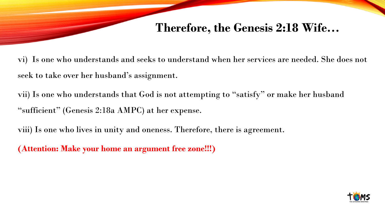## **Therefore, the Genesis 2:18 Wife…**

vi) Is one who understands and seeks to understand when her services are needed. She does not seek to take over her husband's assignment.

vii) Is one who understands that God is not attempting to "satisfy" or make her husband "sufficient" (Genesis 2:18a AMPC) at her expense.

viii) Is one who lives in unity and oneness. Therefore, there is agreement.

**(Attention: Make your home an argument free zone!!!)**

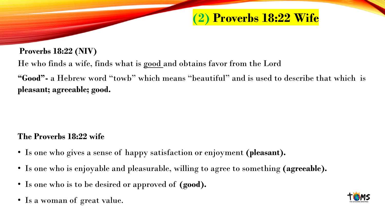## **(2) Proverbs 18:22 Wife**

#### **Proverbs 18:22 (NIV)**

He who finds a wife, finds what is good and obtains favor from the Lord

**"Good"-** a Hebrew word "towb" which means "beautiful" and is used to describe that which is **pleasant; agreeable; good.**

#### **The Proverbs 18:22 wife**

- Is one who gives a sense of happy satisfaction or enjoyment **(pleasant).**
- Is one who is enjoyable and pleasurable, willing to agree to something **(agreeable).**
- Is one who is to be desired or approved of **(good).**
- Is a woman of great value.

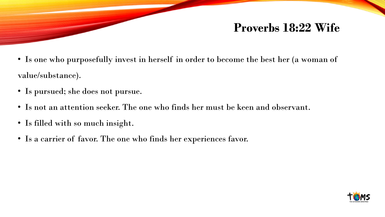## **Proverbs 18:22 Wife**

- Is one who purposefully invest in herself in order to become the best her (a woman of value/substance).
- Is pursued; she does not pursue.
- Is not an attention seeker. The one who finds her must be keen and observant.
- Is filled with so much insight.
- Is a carrier of favor. The one who finds her experiences favor.

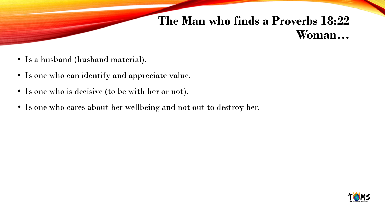## **The Man who finds a Proverbs 18:22 Woman…**

- Is a husband (husband material).
- Is one who can identify and appreciate value.
- Is one who is decisive (to be with her or not).
- Is one who cares about her wellbeing and not out to destroy her.

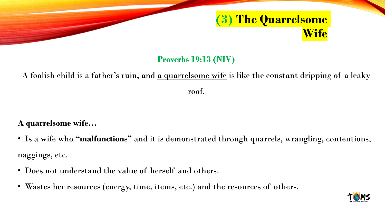

#### **Proverbs 19:13 (NIV)**

### A foolish child is a father's ruin, and a quarrelsome wife is like the constant dripping of a leaky roof.

#### **A quarrelsome wife…**

- Is a wife who **"malfunctions"** and it is demonstrated through quarrels, wrangling, contentions, naggings, etc.
- Does not understand the value of herself and others.
- Wastes her resources (energy, time, items, etc.) and the resources of others.

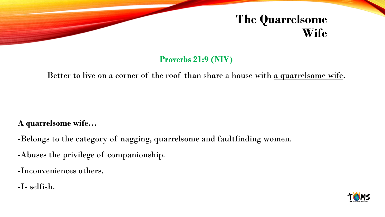# **The Quarrelsome Wife**

#### **Proverbs 21:9 (NIV)**

#### Better to live on a corner of the roof than share a house with <u>a quarrelsome wife</u>.

#### **A quarrelsome wife…**

- -Belongs to the category of nagging, quarrelsome and faultfinding women.
- -Abuses the privilege of companionship.
- -Inconveniences others.
- -Is selfish.

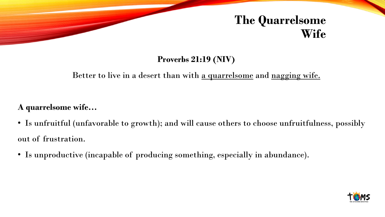# **The Quarrelsome Wife**

#### **Proverbs 21:19 (NIV)**

#### Better to live in a desert than with a quarrelsome and nagging wife.

#### **A quarrelsome wife…**

- Is unfruitful (unfavorable to growth); and will cause others to choose unfruitfulness, possibly out of frustration.
- Is unproductive (incapable of producing something, especially in abundance).

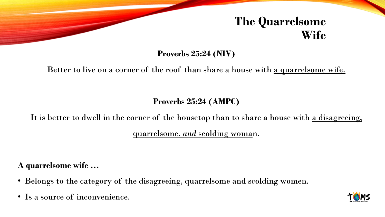## **The Quarrelsome Wife**

**Proverbs 25:24 (NIV)**

#### Better to live on a corner of the roof than share a house with a quarrelsome wife.

**Proverbs 25:24 (AMPC)**

It is better to dwell in the corner of the housetop than to share a house with a disagreeing, quarrelsome, *and* scolding woman.

**A quarrelsome wife …**

- Belongs to the category of the disagreeing, quarrelsome and scolding women.
- Is a source of inconvenience.

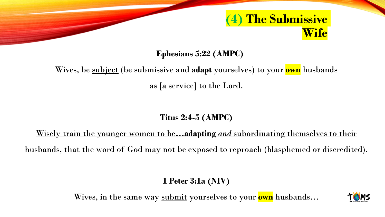

**Ephesians 5:22 (AMPC)**

## Wives, be subject (be submissive and **adapt** yourselves) to your **own** husbands as [a service] to the Lord.

#### **Titus 2:4-5 (AMPC)**

Wisely train the younger women to be**…adapting** *and* subordinating themselves to their husbands, that the word of God may not be exposed to reproach (blasphemed or discredited).

#### **1 Peter 3:1a (NIV)**

Wives, in the same way submit yourselves to your **own** husbands…

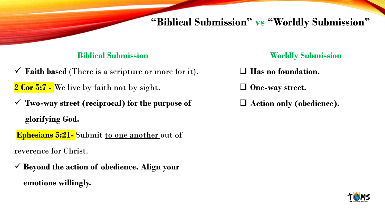### **"Biblical Submission" vs "Worldly Submission"**

#### **Biblical Submission**

- $\checkmark$  **Faith based** (There is a scripture or more for it). **2 Cor 5:7 -** We live by faith not by sight.
- ✓ **Two-way street (reciprocal) for the purpose of glorifying God.**

**Ephesians 5:21-** Submit to one another out of reverence for Christ.

✓ **Beyond the action of obedience. Align your emotions willingly.**

#### **Worldly Submission**

- ❑ **Has no foundation.**
- ❑ **One-way street.**
- ❑ **Action only (obedience).**

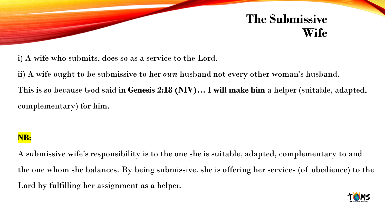## **The Submissive Wife**

i) A wife who submits, does so as <u>a service to the Lord.</u>

ii) A wife ought to be submissive <u>to her *own* husband</u> not every other woman's husband. This is so because God said in **Genesis 2:18 (NIV)… I will make him** a helper (suitable, adapted, complementary) for him.

#### **NB:**

A submissive wife's responsibility is to the one she is suitable, adapted, complementary to and the one whom she balances. By being submissive, she is offering her services (of obedience) to the Lord by fulfilling her assignment as a helper.

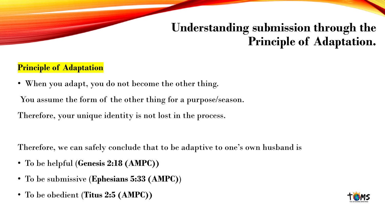# **Understanding submission through the Principle of Adaptation.**

#### **Principle of Adaptation**

• When you adapt, you do not become the other thing.

You assume the form of the other thing for a purpose/season.

Therefore, your unique identity is not lost in the process.

Therefore, we can safely conclude that to be adaptive to one's own husband is

- To be helpful (**Genesis 2:18 (AMPC))**
- To be submissive (**Ephesians 5:33 (AMPC)**)
- To be obedient (**Titus 2:5 (AMPC))**

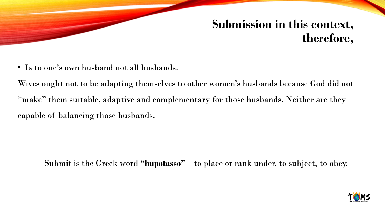## **Submission in this context, therefore,**

• Is to one's own husband not all husbands.

Wives ought not to be adapting themselves to other women's husbands because God did not "make" them suitable, adaptive and complementary for those husbands. Neither are they capable of balancing those husbands.

Submit is the Greek word **"hupotasso"** – to place or rank under, to subject, to obey.

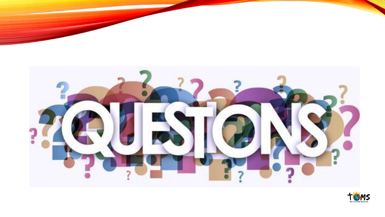

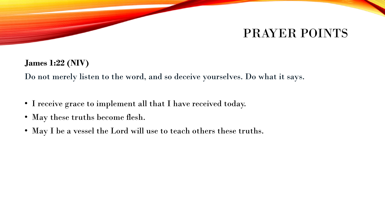## PRAYER POINTS

#### **James 1:22 (NIV)**

Do not merely listen to the word, and so deceive yourselves. Do what it says.

- I receive grace to implement all that I have received today.
- May these truths become flesh.
- May I be a vessel the Lord will use to teach others these truths.